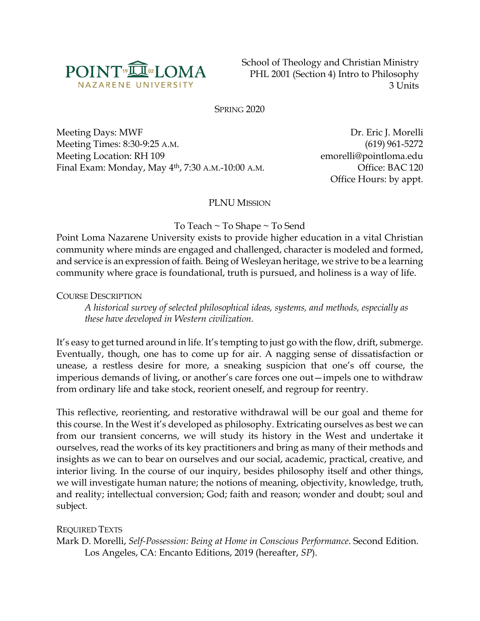

School of Theology and Christian Ministry PHL 2001 (Section 4) Intro to Philosophy 3 Units

SPRING 2020

Meeting Days: MWF Dr. Eric J. Morelli Meeting Times: 8:30-9:25 A.M. (619) 961-5272 Meeting Location: RH 109 emorelli@pointloma.edu Final Exam: Monday, May 4th, 7:30 A.M.-10:00 A.M. Office: BAC 120

Office Hours: by appt.

#### PLNU MISSION

To Teach ~ To Shape ~ To Send

Point Loma Nazarene University exists to provide higher education in a vital Christian community where minds are engaged and challenged, character is modeled and formed, and service is an expression of faith. Being of Wesleyan heritage, we strive to be a learning community where grace is foundational, truth is pursued, and holiness is a way of life.

COURSE DESCRIPTION

*A historical survey of selected philosophical ideas, systems, and methods, especially as these have developed in Western civilization.*

It's easy to get turned around in life. It's tempting to just go with the flow, drift, submerge. Eventually, though, one has to come up for air. A nagging sense of dissatisfaction or unease, a restless desire for more, a sneaking suspicion that one's off course, the imperious demands of living, or another's care forces one out—impels one to withdraw from ordinary life and take stock, reorient oneself, and regroup for reentry.

This reflective, reorienting, and restorative withdrawal will be our goal and theme for this course. In the West it's developed as philosophy. Extricating ourselves as best we can from our transient concerns, we will study its history in the West and undertake it ourselves, read the works of its key practitioners and bring as many of their methods and insights as we can to bear on ourselves and our social, academic, practical, creative, and interior living. In the course of our inquiry, besides philosophy itself and other things, we will investigate human nature; the notions of meaning, objectivity, knowledge, truth, and reality; intellectual conversion; God; faith and reason; wonder and doubt; soul and subject.

REQUIRED TEXTS Mark D. Morelli, *Self-Possession: Being at Home in Conscious Performance*. Second Edition. Los Angeles, CA: Encanto Editions, 2019 (hereafter, *SP*).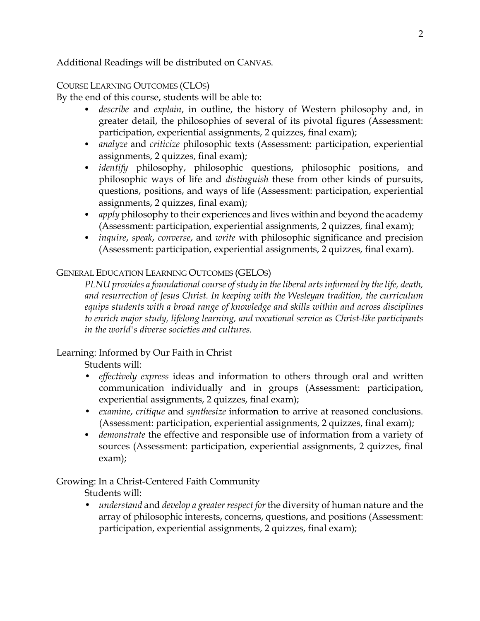Additional Readings will be distributed on CANVAS.

## COURSE LEARNING OUTCOMES (CLOS)

By the end of this course, students will be able to:

- *describe* and *explain*, in outline, the history of Western philosophy and, in greater detail, the philosophies of several of its pivotal figures (Assessment: participation, experiential assignments, 2 quizzes, final exam);
- *analyze* and *criticize* philosophic texts (Assessment: participation, experiential assignments, 2 quizzes, final exam);
- *identify* philosophy, philosophic questions, philosophic positions, and philosophic ways of life and *distinguish* these from other kinds of pursuits, questions, positions, and ways of life (Assessment: participation, experiential assignments, 2 quizzes, final exam);
- *apply* philosophy to their experiences and lives within and beyond the academy (Assessment: participation, experiential assignments, 2 quizzes, final exam);
- *inquire*, *speak*, *converse*, and *write* with philosophic significance and precision (Assessment: participation, experiential assignments, 2 quizzes, final exam).

#### GENERAL EDUCATION LEARNING OUTCOMES (GELOS)

*PLNU provides a foundational course of study in the liberal arts informed by the life, death, and resurrection of Jesus Christ. In keeping with the Wesleyan tradition, the curriculum equips students with a broad range of knowledge and skills within and across disciplines to enrich major study, lifelong learning, and vocational service as Christ-like participants in the world's diverse societies and cultures.*

## Learning: Informed by Our Faith in Christ

Students will:

- *effectively express* ideas and information to others through oral and written communication individually and in groups (Assessment: participation, experiential assignments, 2 quizzes, final exam);
- *examine*, *critique* and *synthesize* information to arrive at reasoned conclusions. (Assessment: participation, experiential assignments, 2 quizzes, final exam);
- *demonstrate* the effective and responsible use of information from a variety of sources (Assessment: participation, experiential assignments, 2 quizzes, final exam);

## Growing: In a Christ-Centered Faith Community

Students will:

• *understand* and *develop a greater respect for* the diversity of human nature and the array of philosophic interests, concerns, questions, and positions (Assessment: participation, experiential assignments, 2 quizzes, final exam);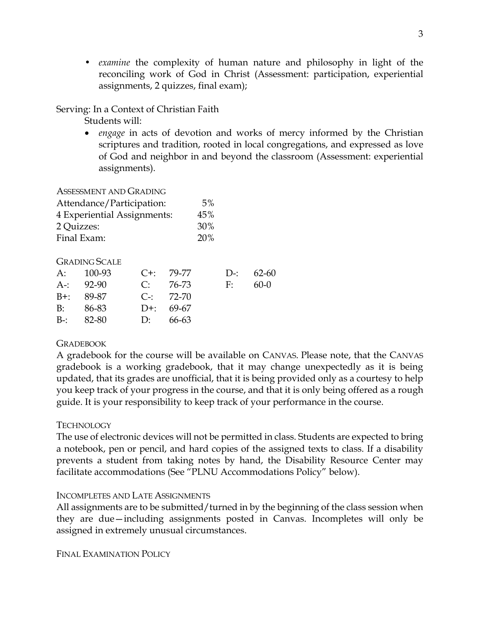• *examine* the complexity of human nature and philosophy in light of the reconciling work of God in Christ (Assessment: participation, experiential assignments, 2 quizzes, final exam);

#### Serving: In a Context of Christian Faith

Students will:

• *engage* in acts of devotion and works of mercy informed by the Christian scriptures and tradition, rooted in local congregations, and expressed as love of God and neighbor in and beyond the classroom (Assessment: experiential assignments).

ASSESSMENT AND GRADING

| Attendance/Participation:   | 5%         |
|-----------------------------|------------|
| 4 Experiential Assignments: | 45%        |
| 2 Quizzes:                  | 30%        |
| Final Exam:                 | <b>20%</b> |

#### GRADING SCALE

| A: 100-93 C+: 79-77 |                       |           | $D_{2}$ : 62-60 |
|---------------------|-----------------------|-----------|-----------------|
| $A-32-90$           | $C: 76-73$            | $F: 60-0$ |                 |
| $B^{+}$ : 89-87     | $C_{\text{=}1}$ 72-70 |           |                 |
| $B: 86-83$          | $D^{+}$ : 69-67       |           |                 |
| $B-32-80$           | D: $66-63$            |           |                 |

#### **GRADEBOOK**

A gradebook for the course will be available on CANVAS. Please note, that the CANVAS gradebook is a working gradebook, that it may change unexpectedly as it is being updated, that its grades are unofficial, that it is being provided only as a courtesy to help you keep track of your progress in the course, and that it is only being offered as a rough guide. It is your responsibility to keep track of your performance in the course.

#### TECHNOLOGY

The use of electronic devices will not be permitted in class. Students are expected to bring a notebook, pen or pencil, and hard copies of the assigned texts to class. If a disability prevents a student from taking notes by hand, the Disability Resource Center may facilitate accommodations (See "PLNU Accommodations Policy" below).

#### INCOMPLETES AND LATE ASSIGNMENTS

All assignments are to be submitted/turned in by the beginning of the class session when they are due—including assignments posted in Canvas. Incompletes will only be assigned in extremely unusual circumstances.

FINAL EXAMINATION POLICY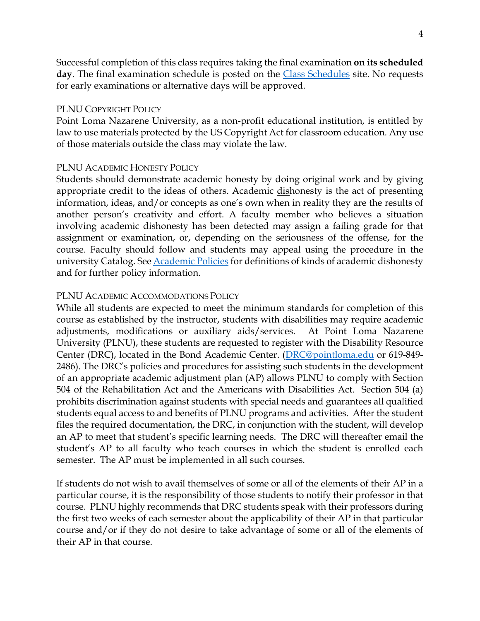Successful completion of this class requires taking the final examination **on its scheduled day**. The final examination schedule is posted on the [Class Schedules](http://www.pointloma.edu/experience/academics/class-schedules) site. No requests for early examinations or alternative days will be approved.

#### PLNU COPYRIGHT POLICY

Point Loma Nazarene University, as a non-profit educational institution, is entitled by law to use materials protected by the US Copyright Act for classroom education. Any use of those materials outside the class may violate the law.

#### PLNU ACADEMIC HONESTY POLICY

Students should demonstrate academic honesty by doing original work and by giving appropriate credit to the ideas of others. Academic dishonesty is the act of presenting information, ideas, and/or concepts as one's own when in reality they are the results of another person's creativity and effort. A faculty member who believes a situation involving academic dishonesty has been detected may assign a failing grade for that assignment or examination, or, depending on the seriousness of the offense, for the course. Faculty should follow and students may appeal using the procedure in the university Catalog. Se[e Academic Policies](http://catalog.pointloma.edu/content.php?catoid=18&navoid=1278) for definitions of kinds of academic dishonesty and for further policy information.

#### PLNU ACADEMIC ACCOMMODATIONS POLICY

While all students are expected to meet the minimum standards for completion of this course as established by the instructor, students with disabilities may require academic adjustments, modifications or auxiliary aids/services. At Point Loma Nazarene University (PLNU), these students are requested to register with the Disability Resource Center (DRC), located in the Bond Academic Center. [\(DRC@pointloma.edu](mailto:DRC@pointloma.edu) or 619-849- 2486). The DRC's policies and procedures for assisting such students in the development of an appropriate academic adjustment plan (AP) allows PLNU to comply with Section 504 of the Rehabilitation Act and the Americans with Disabilities Act. Section 504 (a) prohibits discrimination against students with special needs and guarantees all qualified students equal access to and benefits of PLNU programs and activities. After the student files the required documentation, the DRC, in conjunction with the student, will develop an AP to meet that student's specific learning needs. The DRC will thereafter email the student's AP to all faculty who teach courses in which the student is enrolled each semester. The AP must be implemented in all such courses.

If students do not wish to avail themselves of some or all of the elements of their AP in a particular course, it is the responsibility of those students to notify their professor in that course. PLNU highly recommends that DRC students speak with their professors during the first two weeks of each semester about the applicability of their AP in that particular course and/or if they do not desire to take advantage of some or all of the elements of their AP in that course.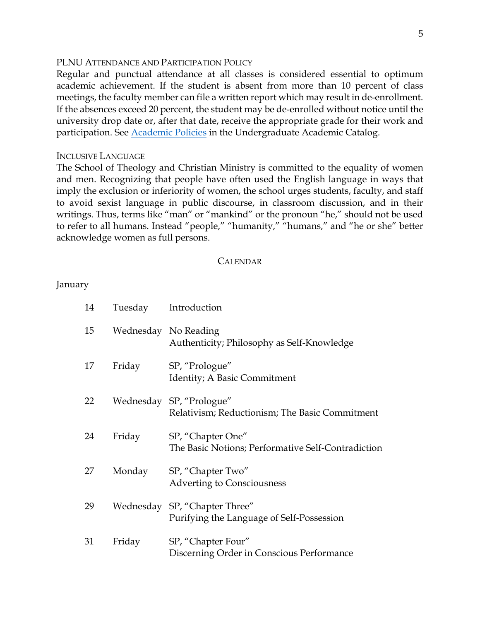#### PLNU ATTENDANCE AND PARTICIPATION POLICY

Regular and punctual attendance at all classes is considered essential to optimum academic achievement. If the student is absent from more than 10 percent of class meetings, the faculty member can file a written report which may result in de-enrollment. If the absences exceed 20 percent, the student may be de-enrolled without notice until the university drop date or, after that date, receive the appropriate grade for their work and participation. See **Academic Policies** in the Undergraduate Academic Catalog.

#### INCLUSIVE LANGUAGE

The School of Theology and Christian Ministry is committed to the equality of women and men. Recognizing that people have often used the English language in ways that imply the exclusion or inferiority of women, the school urges students, faculty, and staff to avoid sexist language in public discourse, in classroom discussion, and in their writings. Thus, terms like "man" or "mankind" or the pronoun "he," should not be used to refer to all humans. Instead "people," "humanity," "humans," and "he or she" better acknowledge women as full persons.

#### CALENDAR

January

| 14 |        | Tuesday Introduction                                                       |
|----|--------|----------------------------------------------------------------------------|
| 15 |        | Wednesday No Reading<br>Authenticity; Philosophy as Self-Knowledge         |
| 17 | Friday | SP, "Prologue"<br>Identity; A Basic Commitment                             |
| 22 |        | Wednesday SP, "Prologue"<br>Relativism; Reductionism; The Basic Commitment |
| 24 | Friday | SP, "Chapter One"<br>The Basic Notions; Performative Self-Contradiction    |
| 27 | Monday | SP, "Chapter Two"<br><b>Adverting to Consciousness</b>                     |
| 29 |        | Wednesday SP, "Chapter Three"<br>Purifying the Language of Self-Possession |
| 31 | Friday | SP, "Chapter Four"<br>Discerning Order in Conscious Performance            |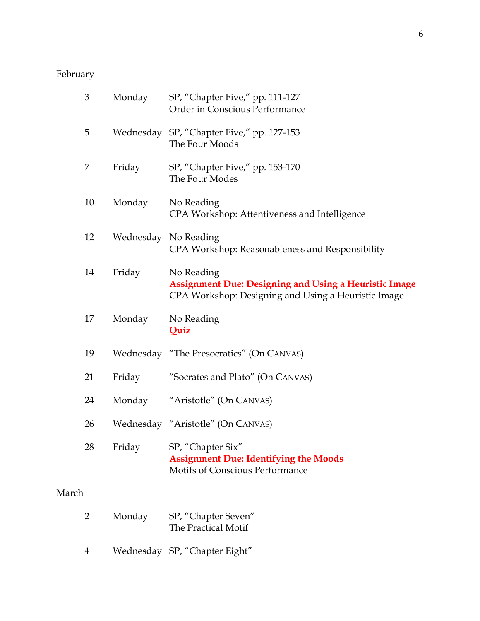# February

| 3     |                | Monday    | SP, "Chapter Five," pp. 111-127<br>Order in Conscious Performance                                                                 |
|-------|----------------|-----------|-----------------------------------------------------------------------------------------------------------------------------------|
|       | 5              |           | Wednesday SP, "Chapter Five," pp. 127-153<br>The Four Moods                                                                       |
|       | 7              | Friday    | SP, "Chapter Five," pp. 153-170<br>The Four Modes                                                                                 |
|       | 10             | Monday    | No Reading<br>CPA Workshop: Attentiveness and Intelligence                                                                        |
|       | 12             | Wednesday | No Reading<br>CPA Workshop: Reasonableness and Responsibility                                                                     |
|       | 14             | Friday    | No Reading<br><b>Assignment Due: Designing and Using a Heuristic Image</b><br>CPA Workshop: Designing and Using a Heuristic Image |
|       | 17             | Monday    | No Reading<br>Quiz                                                                                                                |
|       | 19             |           | Wednesday "The Presocratics" (On CANVAS)                                                                                          |
|       | 21             | Friday    | "Socrates and Plato" (On CANVAS)                                                                                                  |
|       | 24             | Monday    | "Aristotle" (On CANVAS)                                                                                                           |
|       | 26             |           | Wednesday "Aristotle" (On CANVAS)                                                                                                 |
|       | 28             | Friday    | SP, "Chapter Six"<br><b>Assignment Due: Identifying the Moods</b><br>Motifs of Conscious Performance                              |
| March |                |           |                                                                                                                                   |
|       | $\overline{2}$ | Monday    | SP, "Chapter Seven"<br>The Practical Motif                                                                                        |

4 Wednesday SP, "Chapter Eight"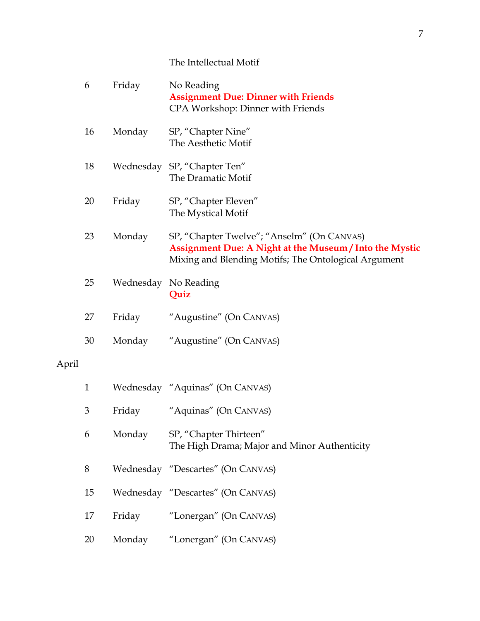## The Intellectual Motif

|       | 6            | Friday | No Reading<br><b>Assignment Due: Dinner with Friends</b><br>CPA Workshop: Dinner with Friends                                                                 |
|-------|--------------|--------|---------------------------------------------------------------------------------------------------------------------------------------------------------------|
|       | 16           | Monday | SP, "Chapter Nine"<br>The Aesthetic Motif                                                                                                                     |
|       | 18           |        | Wednesday SP, "Chapter Ten"<br>The Dramatic Motif                                                                                                             |
|       | 20           | Friday | SP, "Chapter Eleven"<br>The Mystical Motif                                                                                                                    |
|       | 23           | Monday | SP, "Chapter Twelve"; "Anselm" (On CANVAS)<br>Assignment Due: A Night at the Museum / Into the Mystic<br>Mixing and Blending Motifs; The Ontological Argument |
|       | 25           |        | Wednesday No Reading<br>Quiz                                                                                                                                  |
|       | 27           | Friday | "Augustine" (On CANVAS)                                                                                                                                       |
|       | 30           | Monday | "Augustine" (On CANVAS)                                                                                                                                       |
| April |              |        |                                                                                                                                                               |
|       | $\mathbf{1}$ |        | Wednesday "Aquinas" (On CANVAS)                                                                                                                               |
|       | 3            | Friday | "Aquinas" (On CANVAS)                                                                                                                                         |
|       | 6            | Monday | SP, "Chapter Thirteen"<br>The High Drama; Major and Minor Authenticity                                                                                        |
|       | $8\,$        |        | Wednesday "Descartes" (On CANVAS)                                                                                                                             |
|       | 15           |        | Wednesday "Descartes" (On CANVAS)                                                                                                                             |
|       | 17           | Friday | "Lonergan" (On CANVAS)                                                                                                                                        |
|       | 20           | Monday | "Lonergan" (On CANVAS)                                                                                                                                        |